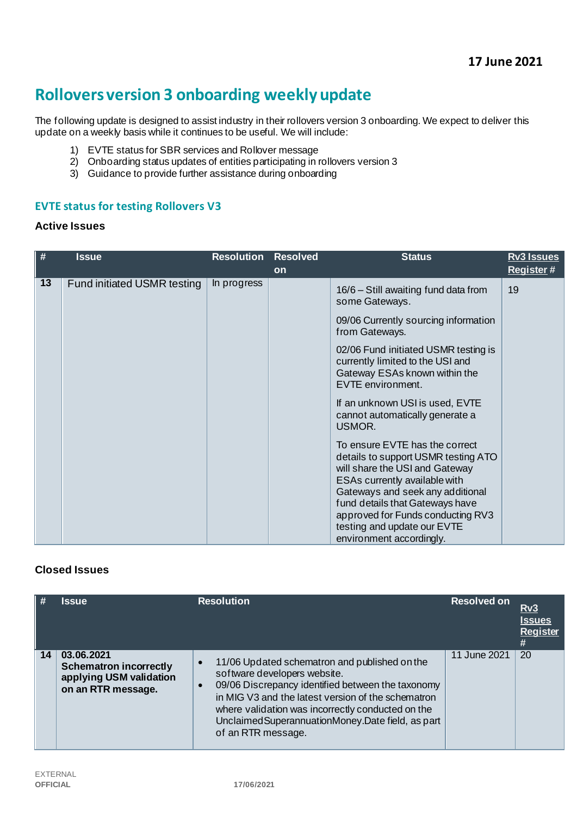# **Rollovers version 3 onboarding weekly update**

The following update is designed to assist industry in their rollovers version 3 onboarding. We expect to deliver this update on a weekly basis while it continues to be useful. We will include:

- 1) EVTE status for SBR services and Rollover message
- 2) Onboarding status updates of entities participating in rollovers version 3
- 3) Guidance to provide further assistance during onboarding

#### **EVTE status for testing Rollovers V3**

#### **Active Issues**

| #  | <b>Issue</b>                | <b>Resolution</b> | <b>Resolved</b> | <b>Status</b>                                                                                                                                                                                                                                                                                                   | <b>Rv3 Issues</b> |
|----|-----------------------------|-------------------|-----------------|-----------------------------------------------------------------------------------------------------------------------------------------------------------------------------------------------------------------------------------------------------------------------------------------------------------------|-------------------|
|    |                             |                   | <b>on</b>       |                                                                                                                                                                                                                                                                                                                 | Register#         |
| 13 | Fund initiated USMR testing | In progress       |                 | 16/6 – Still awaiting fund data from<br>some Gateways.                                                                                                                                                                                                                                                          | 19                |
|    |                             |                   |                 | 09/06 Currently sourcing information<br>from Gateways.                                                                                                                                                                                                                                                          |                   |
|    |                             |                   |                 | 02/06 Fund initiated USMR testing is<br>currently limited to the USI and<br>Gateway ESAs known within the<br>EVTE environment.                                                                                                                                                                                  |                   |
|    |                             |                   |                 | If an unknown USI is used, EVTE<br>cannot automatically generate a<br>USMOR.                                                                                                                                                                                                                                    |                   |
|    |                             |                   |                 | To ensure EVTE has the correct<br>details to support USMR testing ATO<br>will share the USI and Gateway<br>ESAs currently available with<br>Gateways and seek any additional<br>fund details that Gateways have<br>approved for Funds conducting RV3<br>testing and update our EVTE<br>environment accordingly. |                   |

## **Closed Issues**

| $\parallel$ # | <b>Issue</b>                                                                                 | <b>Resolution</b>                                                                                                                                                                                                                                                                                                                                   | <b>Resolved on</b> | Rv3<br><b>Issues</b><br>Register<br># |
|---------------|----------------------------------------------------------------------------------------------|-----------------------------------------------------------------------------------------------------------------------------------------------------------------------------------------------------------------------------------------------------------------------------------------------------------------------------------------------------|--------------------|---------------------------------------|
| 14            | 03.06.2021<br><b>Schematron incorrectly</b><br>applying USM validation<br>on an RTR message. | 11/06 Updated schematron and published on the<br>$\bullet$<br>software developers website.<br>09/06 Discrepancy identified between the taxonomy<br>$\bullet$<br>in MIG V3 and the latest version of the schematron<br>where validation was incorrectly conducted on the<br>Unclaimed Superannuation Money Date field, as part<br>of an RTR message. | 11 June 2021       | 20                                    |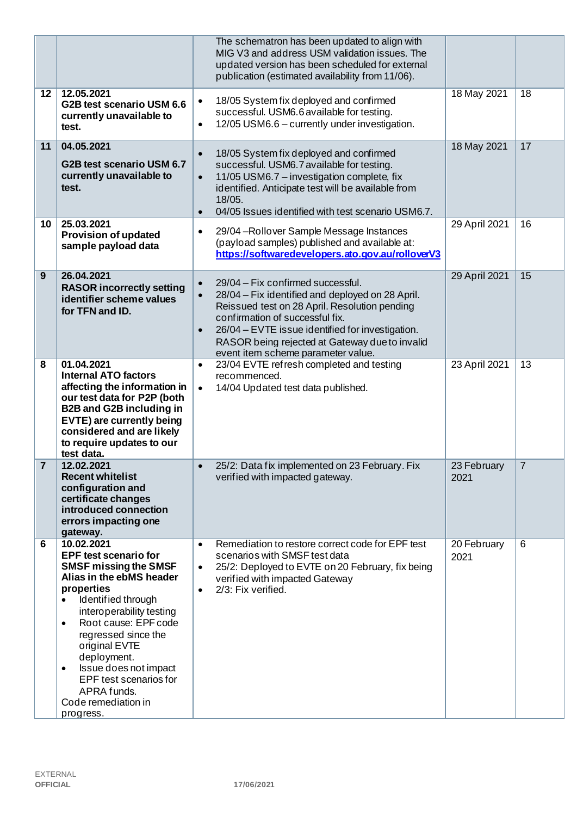|                 |                                                                                                                                                                                                                                                                                                                                                                                       | The schematron has been updated to align with<br>MIG V3 and address USM validation issues. The<br>updated version has been scheduled for external<br>publication (estimated availability from 11/06).                                                                                                                                                        |                     |                |
|-----------------|---------------------------------------------------------------------------------------------------------------------------------------------------------------------------------------------------------------------------------------------------------------------------------------------------------------------------------------------------------------------------------------|--------------------------------------------------------------------------------------------------------------------------------------------------------------------------------------------------------------------------------------------------------------------------------------------------------------------------------------------------------------|---------------------|----------------|
| 12 <sub>2</sub> | 12.05.2021<br>G2B test scenario USM 6.6<br>currently unavailable to<br>test.                                                                                                                                                                                                                                                                                                          | 18/05 System fix deployed and confirmed<br>$\bullet$<br>successful. USM6.6 available for testing.<br>12/05 USM6.6 - currently under investigation.<br>$\bullet$                                                                                                                                                                                              | 18 May 2021         | 18             |
| 11              | 04.05.2021<br>G2B test scenario USM 6.7<br>currently unavailable to<br>test.                                                                                                                                                                                                                                                                                                          | 18/05 System fix deployed and confirmed<br>$\bullet$<br>successful. USM6.7 available for testing.<br>11/05 USM6.7 - investigation complete, fix<br>$\bullet$<br>identified. Anticipate test will be available from<br>18/05.<br>04/05 Issues identified with test scenario USM6.7.<br>$\bullet$                                                              | 18 May 2021         | 17             |
| 10              | 25.03.2021<br><b>Provision of updated</b><br>sample payload data                                                                                                                                                                                                                                                                                                                      | 29/04 - Rollover Sample Message Instances<br>$\bullet$<br>(payload samples) published and available at:<br>https://softwaredevelopers.ato.gov.au/rolloverV3                                                                                                                                                                                                  | 29 April 2021       | 16             |
| 9               | 26.04.2021<br><b>RASOR incorrectly setting</b><br>identifier scheme values<br>for TFN and ID.                                                                                                                                                                                                                                                                                         | 29/04 - Fix confirmed successful.<br>$\bullet$<br>28/04 – Fix identified and deployed on 28 April.<br>$\bullet$<br>Reissued test on 28 April. Resolution pending<br>confirmation of successful fix.<br>26/04 - EVTE issue identified for investigation.<br>$\bullet$<br>RASOR being rejected at Gateway due to invalid<br>event item scheme parameter value. | 29 April 2021       | 15             |
| 8               | 01.04.2021<br><b>Internal ATO factors</b><br>affecting the information in<br>our test data for P2P (both<br><b>B2B and G2B including in</b><br>EVTE) are currently being<br>considered and are likely<br>to require updates to our<br>test data.                                                                                                                                      | 23/04 EVTE refresh completed and testing<br>$\bullet$<br>recommenced.<br>14/04 Updated test data published.<br>$\bullet$                                                                                                                                                                                                                                     | 23 April 2021       | 13             |
| $\overline{7}$  | 12.02.2021<br><b>Recent whitelist</b><br>configuration and<br>certificate changes<br>introduced connection<br>errors impacting one<br>gateway.                                                                                                                                                                                                                                        | 25/2: Data fix implemented on 23 February. Fix<br>$\bullet$<br>verified with impacted gateway.                                                                                                                                                                                                                                                               | 23 February<br>2021 | $\overline{7}$ |
| 6               | 10.02.2021<br><b>EPF test scenario for</b><br><b>SMSF missing the SMSF</b><br>Alias in the ebMS header<br>properties<br>Identified through<br>interoperability testing<br>Root cause: EPF code<br>$\bullet$<br>regressed since the<br>original EVTE<br>deployment.<br>Issue does not impact<br>$\bullet$<br>EPF test scenarios for<br>APRA funds.<br>Code remediation in<br>progress. | Remediation to restore correct code for EPF test<br>$\bullet$<br>scenarios with SMSF test data<br>25/2: Deployed to EVTE on 20 February, fix being<br>$\bullet$<br>verified with impacted Gateway<br>2/3: Fix verified.<br>$\bullet$                                                                                                                         | 20 February<br>2021 | 6              |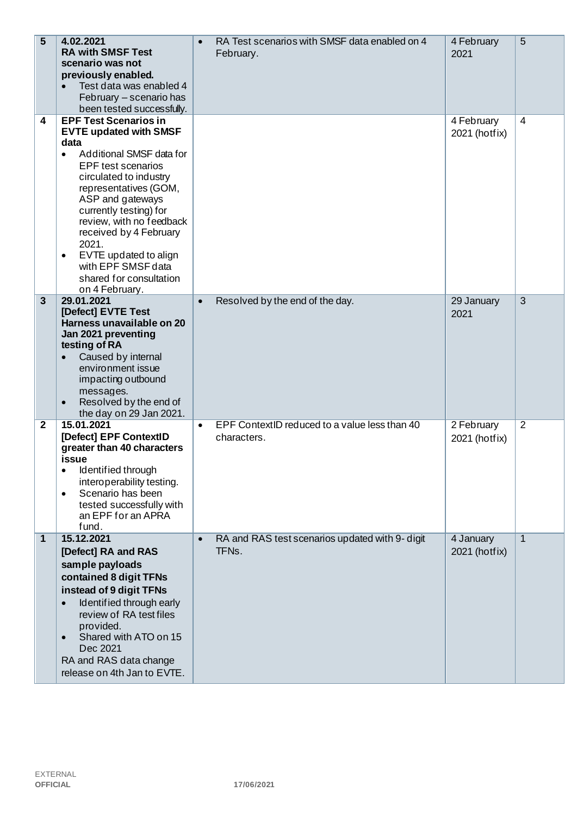| 5                       | 4.02.2021<br><b>RA with SMSF Test</b><br>scenario was not<br>previously enabled.<br>Test data was enabled 4<br>February - scenario has<br>been tested successfully.                                                                                                                                                                                                                                          | RA Test scenarios with SMSF data enabled on 4<br>$\bullet$<br>February.            | 4 February<br>2021          | 5              |
|-------------------------|--------------------------------------------------------------------------------------------------------------------------------------------------------------------------------------------------------------------------------------------------------------------------------------------------------------------------------------------------------------------------------------------------------------|------------------------------------------------------------------------------------|-----------------------------|----------------|
| 4                       | <b>EPF Test Scenarios in</b><br><b>EVTE updated with SMSF</b><br>data<br>Additional SMSF data for<br>$\bullet$<br><b>EPF</b> test scenarios<br>circulated to industry<br>representatives (GOM,<br>ASP and gateways<br>currently testing) for<br>review, with no feedback<br>received by 4 February<br>2021.<br>EVTE updated to align<br>٠<br>with EPF SMSF data<br>shared for consultation<br>on 4 February. |                                                                                    | 4 February<br>2021 (hotfix) | $\overline{4}$ |
| $\overline{\mathbf{3}}$ | 29.01.2021<br>[Defect] EVTE Test<br>Harness unavailable on 20<br>Jan 2021 preventing<br>testing of RA<br>Caused by internal<br>$\bullet$<br>environment issue<br>impacting outbound<br>messages.<br>Resolved by the end of<br>$\bullet$<br>the day on 29 Jan 2021.                                                                                                                                           | Resolved by the end of the day.<br>$\bullet$                                       | 29 January<br>2021          | 3              |
| 2                       | 15.01.2021<br>[Defect] EPF ContextID<br>greater than 40 characters<br>issue<br>Identified through<br>interoperability testing.<br>Scenario has been<br>tested successfully with<br>an EPF for an APRA<br>fund.                                                                                                                                                                                               | EPF ContextID reduced to a value less than 40<br>$\bullet$<br>characters.          | 2 February<br>2021 (hotfix) | $\overline{2}$ |
| 1                       | 15.12.2021<br>[Defect] RA and RAS<br>sample payloads<br>contained 8 digit TFNs<br>instead of 9 digit TFNs<br>Identified through early<br>$\bullet$<br>review of RA test files<br>provided.<br>Shared with ATO on 15<br>$\bullet$<br>Dec 2021<br>RA and RAS data change<br>release on 4th Jan to EVTE.                                                                                                        | RA and RAS test scenarios updated with 9- digit<br>$\bullet$<br>TFN <sub>s</sub> . | 4 January<br>2021 (hotfix)  | $\overline{1}$ |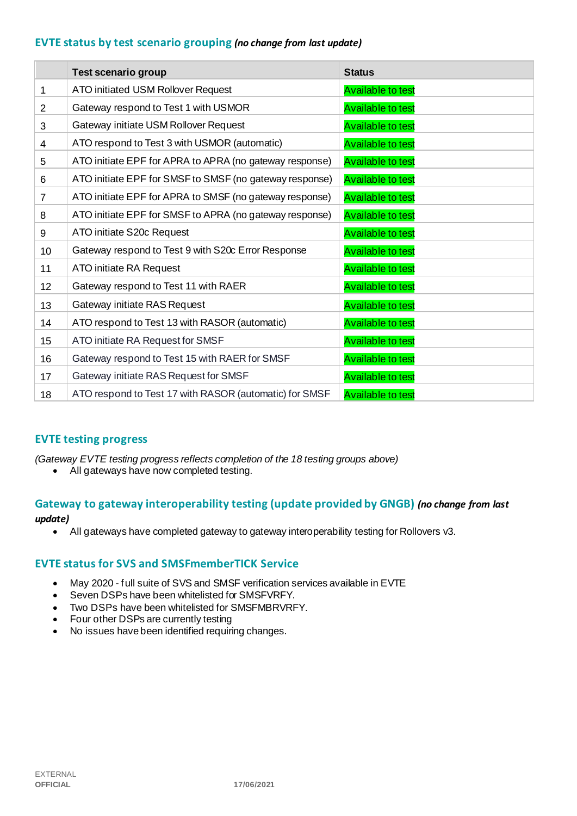### **EVTE status by test scenario grouping** *(no change from last update)*

|                 | <b>Test scenario group</b>                              | <b>Status</b>            |
|-----------------|---------------------------------------------------------|--------------------------|
| 1               | ATO initiated USM Rollover Request                      | <b>Available to test</b> |
| 2               | Gateway respond to Test 1 with USMOR                    | <b>Available to test</b> |
| 3               | Gateway initiate USM Rollover Request                   | <b>Available to test</b> |
| 4               | ATO respond to Test 3 with USMOR (automatic)            | <b>Available to test</b> |
| 5               | ATO initiate EPF for APRA to APRA (no gateway response) | <b>Available to test</b> |
| 6               | ATO initiate EPF for SMSF to SMSF (no gateway response) | <b>Available to test</b> |
| $\overline{7}$  | ATO initiate EPF for APRA to SMSF (no gateway response) | <b>Available to test</b> |
| 8               | ATO initiate EPF for SMSF to APRA (no gateway response) | <b>Available to test</b> |
| 9               | ATO initiate S20c Request                               | <b>Available to test</b> |
| 10              | Gateway respond to Test 9 with S20c Error Response      | <b>Available to test</b> |
| 11              | ATO initiate RA Request                                 | <b>Available to test</b> |
| 12 <sup>2</sup> | Gateway respond to Test 11 with RAER                    | <b>Available to test</b> |
| 13              | Gateway initiate RAS Request                            | <b>Available to test</b> |
| 14              | ATO respond to Test 13 with RASOR (automatic)           | <b>Available to test</b> |
| 15              | ATO initiate RA Request for SMSF                        | <b>Available to test</b> |
| 16              | Gateway respond to Test 15 with RAER for SMSF           | <b>Available to test</b> |
| 17              | Gateway initiate RAS Request for SMSF                   | <b>Available to test</b> |
| 18              | ATO respond to Test 17 with RASOR (automatic) for SMSF  | <b>Available to test</b> |

## **EVTE testing progress**

*(Gateway EVTE testing progress reflects completion of the 18 testing groups above)*

• All gateways have now completed testing.

## **Gateway to gateway interoperability testing (update provided by GNGB)** *(no change from last update)*

• All gateways have completed gateway to gateway interoperability testing for Rollovers v3.

## **EVTE status for SVS and SMSFmemberTICK Service**

- May 2020 full suite of SVS and SMSF verification services available in EVTE
- Seven DSPs have been whitelisted for SMSFVRFY.
- Two DSPs have been whitelisted for SMSFMBRVRFY.
- Four other DSPs are currently testing
- No issues have been identified requiring changes.